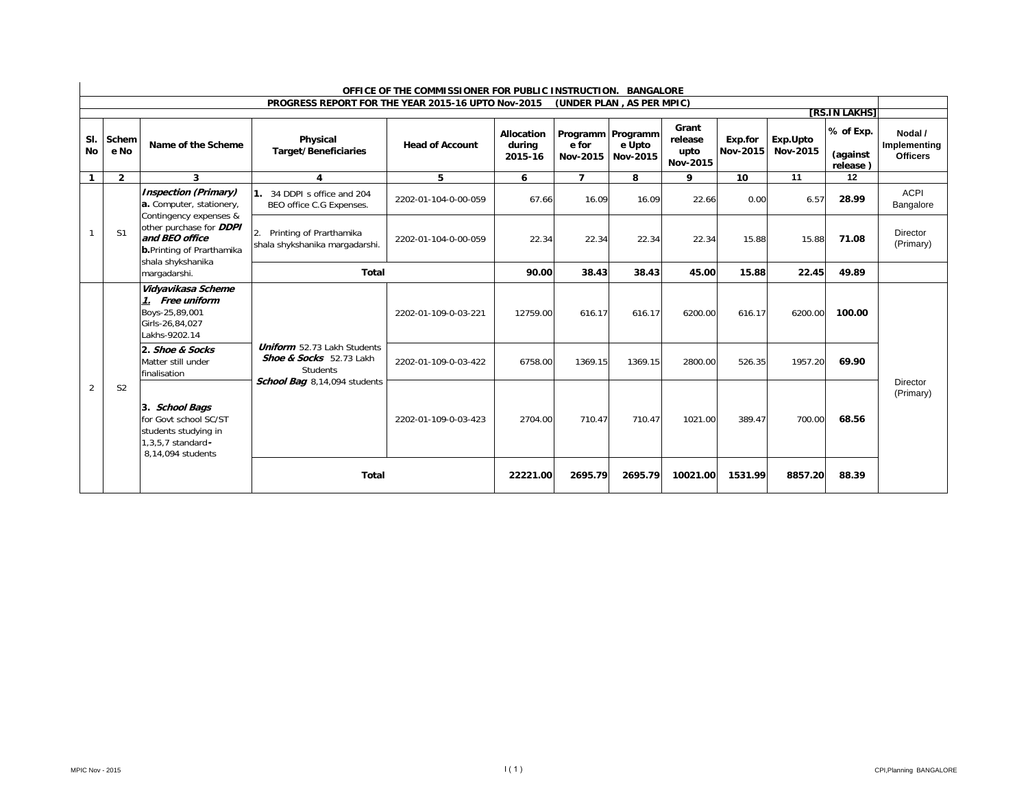|                  |                |                                                                                                            |                                                                                  | OFFICE OF THE COMMISSIONER FOR PUBLIC INSTRUCTION. BANGALORE |                                 |                                        |                    |                                      |                     |                      |                                   |                                            |
|------------------|----------------|------------------------------------------------------------------------------------------------------------|----------------------------------------------------------------------------------|--------------------------------------------------------------|---------------------------------|----------------------------------------|--------------------|--------------------------------------|---------------------|----------------------|-----------------------------------|--------------------------------------------|
|                  |                |                                                                                                            | PROGRESS REPORT FOR THE YEAR 2015-16 UPTO Nov-2015                               |                                                              |                                 | (UNDER PLAN, AS PER MPIC)              |                    |                                      |                     |                      | [RS.IN LAKHS]                     |                                            |
| SI.<br><b>No</b> | Schem<br>e No  | Name of the Scheme                                                                                         | Physical<br><b>Target/Beneficiaries</b>                                          | <b>Head of Account</b>                                       | Allocation<br>during<br>2015-16 | Programm Programm<br>e for<br>Nov-2015 | e Upto<br>Nov-2015 | Grant<br>release<br>upto<br>Nov-2015 | Exp.for<br>Nov-2015 | Exp.Upto<br>Nov-2015 | % of Exp.<br>(against<br>release) | Nodal /<br>Implementing<br><b>Officers</b> |
| -1               | $\overline{2}$ | 3                                                                                                          | 4                                                                                | 5                                                            | 6                               | $\overline{ }$                         | 8                  | 9                                    | 10                  | 11                   | 12                                |                                            |
|                  |                | <b>Inspection (Primary)</b><br>a. Computer, stationery,<br>Contingency expenses &                          | 1. 34 DDPI s office and 204<br>BEO office C.G Expenses.                          | 2202-01-104-0-00-059                                         | 67.66                           | 16.09                                  | 16.09              | 22.66                                | 0.00                | 6.57                 | 28.99                             | <b>ACPI</b><br>Bangalore                   |
|                  | S <sub>1</sub> | other purchase for <b>DDPI</b><br>and BEO office<br><b>b.</b> Printing of Prarthamika<br>shala shykshanika | 2. Printing of Prarthamika<br>shala shykshanika margadarshi.                     | 2202-01-104-0-00-059                                         | 22.34                           | 22.34                                  | 22.34              | 22.34                                | 15.88               | 15.88                | 71.08                             | Director<br>(Primary)                      |
|                  |                | margadarshi.                                                                                               | Total                                                                            | 90.00                                                        | 38.43                           | 38.43                                  | 45.00              | 15.88                                | 22.45               | 49.89                |                                   |                                            |
|                  |                | Vidyavikasa Scheme<br>1. Free uniform<br>Boys-25,89,001<br>Girls-26,84,027<br>Lakhs-9202.14                |                                                                                  | 2202-01-109-0-03-221                                         | 12759.00                        | 616.17                                 | 616.17             | 6200.00                              | 616.17              | 6200.00              | 100.00                            |                                            |
|                  |                | 2. Shoe & Socks<br>Matter still under<br>finalisation                                                      | <b>Uniform</b> 52.73 Lakh Students<br>Shoe & Socks 52.73 Lakh<br><b>Students</b> | 2202-01-109-0-03-422                                         | 6758.00                         | 1369.15                                | 1369.15            | 2800.00                              | 526.35              | 1957.20              | 69.90                             |                                            |
| $\overline{2}$   | S <sub>2</sub> | 3. School Bags<br>for Govt school SC/ST<br>students studying in<br>1.3.5.7 standard-<br>8.14.094 students  | School Bag 8,14,094 students                                                     | 2202-01-109-0-03-423                                         | 2704.00                         | 710.47                                 | 710.47             | 1021.00                              | 389.47              | 700.00               | 68.56                             | Director<br>(Primary)                      |
|                  |                |                                                                                                            | Total                                                                            |                                                              | 22221.00                        | 2695.79                                | 2695.79            | 10021.00                             | 1531.99             | 8857.20              | 88.39                             |                                            |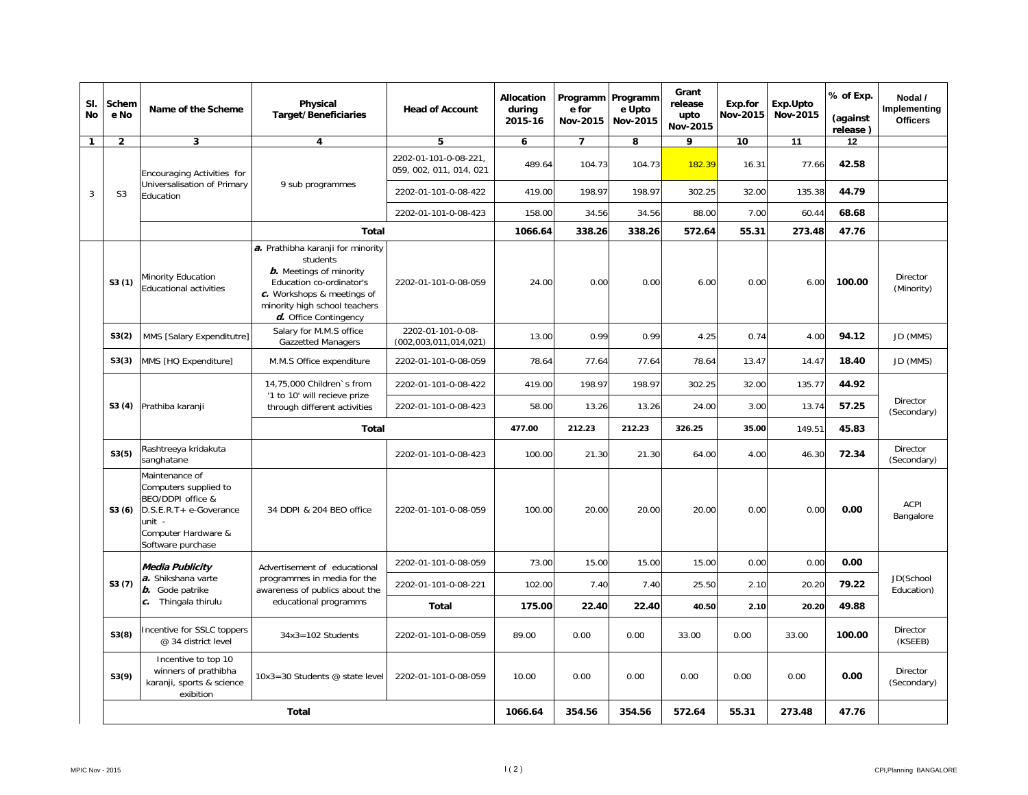| SI.<br><b>No</b> | Schem<br>e No  | Name of the Scheme                                                                                                                           | Physical<br><b>Target/Beneficiaries</b>                                                                                                                                                             | <b>Head of Account</b>                           | <b>Allocation</b><br>during<br>2015-16 | Programm Programm<br>e for<br>Nov-2015 | e Upto<br>Nov-2015 | Grant<br>release<br>upto<br>Nov-2015 | Exp.for<br>Nov-2015 | Exp.Upto<br>Nov-2015 | % of Exp.<br>(against<br>release) | Nodal /<br>Implementing<br><b>Officers</b> |
|------------------|----------------|----------------------------------------------------------------------------------------------------------------------------------------------|-----------------------------------------------------------------------------------------------------------------------------------------------------------------------------------------------------|--------------------------------------------------|----------------------------------------|----------------------------------------|--------------------|--------------------------------------|---------------------|----------------------|-----------------------------------|--------------------------------------------|
| $\mathbf{1}$     | $\overline{2}$ | 3                                                                                                                                            | 4                                                                                                                                                                                                   | 5                                                | 6                                      | $\overline{7}$                         | 8                  | 9                                    | 10                  | 11                   | 12                                |                                            |
|                  |                | Encouraging Activities for                                                                                                                   |                                                                                                                                                                                                     | 2202-01-101-0-08-221.<br>059, 002, 011, 014, 021 | 489.64                                 | 104.73                                 | 104.73             | 182.39                               | 16.31               | 77.66                | 42.58                             |                                            |
| 3                | S <sub>3</sub> | Universalisation of Primary<br>Education                                                                                                     | 9 sub programmes                                                                                                                                                                                    | 2202-01-101-0-08-422                             | 419.00                                 | 198.97                                 | 198.97             | 302.25                               | 32.00               | 135.38               | 44.79                             |                                            |
|                  |                |                                                                                                                                              |                                                                                                                                                                                                     | 2202-01-101-0-08-423                             | 158.00                                 | 34.56                                  | 34.56              | 88.00                                | 7.00                | 60.44                | 68.68                             |                                            |
|                  |                |                                                                                                                                              | <b>Total</b>                                                                                                                                                                                        |                                                  | 1066.64                                | 338.26                                 | 338.26             | 572.64                               | 55.31               | 273.48               | 47.76                             |                                            |
|                  | S3(1)          | Minority Education<br><b>Educational activities</b>                                                                                          | a. Prathibha karanji for minority<br>students<br><b>b.</b> Meetings of minority<br>Education co-ordinator's<br>c. Workshops & meetings of<br>minority high school teachers<br>d. Office Contingency | 2202-01-101-0-08-059                             | 24.00                                  | 0.00                                   | 0.00               | 6.00                                 | 0.00                | 6.00                 | 100.00                            | Director<br>(Minority)                     |
|                  | S3(2)          | MMS [Salary Expenditutre]                                                                                                                    | Salary for M.M.S office<br><b>Gazzetted Managers</b>                                                                                                                                                | 2202-01-101-0-08-<br>(002, 003, 011, 014, 021)   | 13.00                                  | 0.99                                   | 0.99               | 4.25                                 | 0.74                | 4.00                 | 94.12                             | JD (MMS)                                   |
|                  | S3(3)          | MMS [HQ Expenditure]                                                                                                                         | M.M.S Office expenditure                                                                                                                                                                            | 2202-01-101-0-08-059                             | 78.64                                  | 77.64                                  | 77.64              | 78.64                                | 13.47               | 14.47                | 18.40                             | JD (MMS)                                   |
|                  | S3(4)          |                                                                                                                                              | 14,75,000 Children's from<br>'1 to 10' will recieve prize                                                                                                                                           | 2202-01-101-0-08-422                             | 419.00                                 | 198.97                                 | 198.97             | 302.25                               | 32.00               | 135.77               | 44.92                             |                                            |
|                  |                | Prathiba karanji                                                                                                                             | through different activities                                                                                                                                                                        | 2202-01-101-0-08-423                             | 58.00                                  | 13.26                                  | 13.26              | 24.00                                | 3.00                | 13.74                | 57.25                             | Director<br>(Secondary)                    |
|                  |                |                                                                                                                                              | Total                                                                                                                                                                                               |                                                  | 477.00                                 | 212.23                                 | 212.23             | 326.25                               | 35.00               | 149.51               | 45.83                             |                                            |
|                  | S3(5)          | Rashtreeya kridakuta<br>sanghatane                                                                                                           |                                                                                                                                                                                                     | 2202-01-101-0-08-423                             | 100.00                                 | 21.30                                  | 21.30              | 64.00                                | 4.00                | 46.30                | 72.34                             | Director<br>(Secondary)                    |
|                  | S3(6)          | Maintenance of<br>Computers supplied to<br>BEO/DDPI office &<br>D.S.E.R.T+ e-Goverance<br>unit -<br>Computer Hardware &<br>Software purchase | 34 DDPI & 204 BEO office                                                                                                                                                                            | 2202-01-101-0-08-059                             | 100.00                                 | 20.00                                  | 20.00              | 20.00                                | 0.00                | 0.00                 | 0.00                              | <b>ACPI</b><br>Bangalore                   |
|                  |                | Media Publicity                                                                                                                              | Advertisement of educational                                                                                                                                                                        | 2202-01-101-0-08-059                             | 73.00                                  | 15.00                                  | 15.00              | 15.00                                | 0.00                | 0.00                 | 0.00                              |                                            |
|                  | S3(7)          | a. Shikshana varte<br><b>b.</b> Gode patrike                                                                                                 | programmes in media for the<br>awareness of publics about the                                                                                                                                       | 2202-01-101-0-08-221                             | 102.00                                 | 7.40                                   | 7.40               | 25.50                                | 2.10                | 20.20                | 79.22                             | JD(School<br>Education)                    |
|                  |                | c. Thingala thirulu                                                                                                                          | educational programms                                                                                                                                                                               | <b>Total</b>                                     | 175.00                                 | 22.40                                  | 22.40              | 40.50                                | 2.10                | 20.20                | 49.88                             |                                            |
|                  | S3(8)          | Incentive for SSLC toppers<br>@ 34 district level                                                                                            | $34x3 = 102$ Students                                                                                                                                                                               | 2202-01-101-0-08-059                             | 89.00                                  | 0.00                                   | 0.00               | 33.00                                | 0.00                | 33.00                | 100.00                            | <b>Director</b><br>(KSEEB)                 |
|                  | S3(9)          | Incentive to top 10<br>winners of prathibha<br>karanji, sports & science<br>exibition                                                        | 10x3=30 Students @ state level                                                                                                                                                                      | 2202-01-101-0-08-059                             | 10.00                                  | 0.00                                   | 0.00               | 0.00                                 | 0.00                | 0.00                 | 0.00                              | Director<br>(Secondary)                    |
|                  | Total          |                                                                                                                                              |                                                                                                                                                                                                     |                                                  | 1066.64                                | 354.56                                 | 354.56             | 572.64                               | 55.31               | 273.48               | 47.76                             |                                            |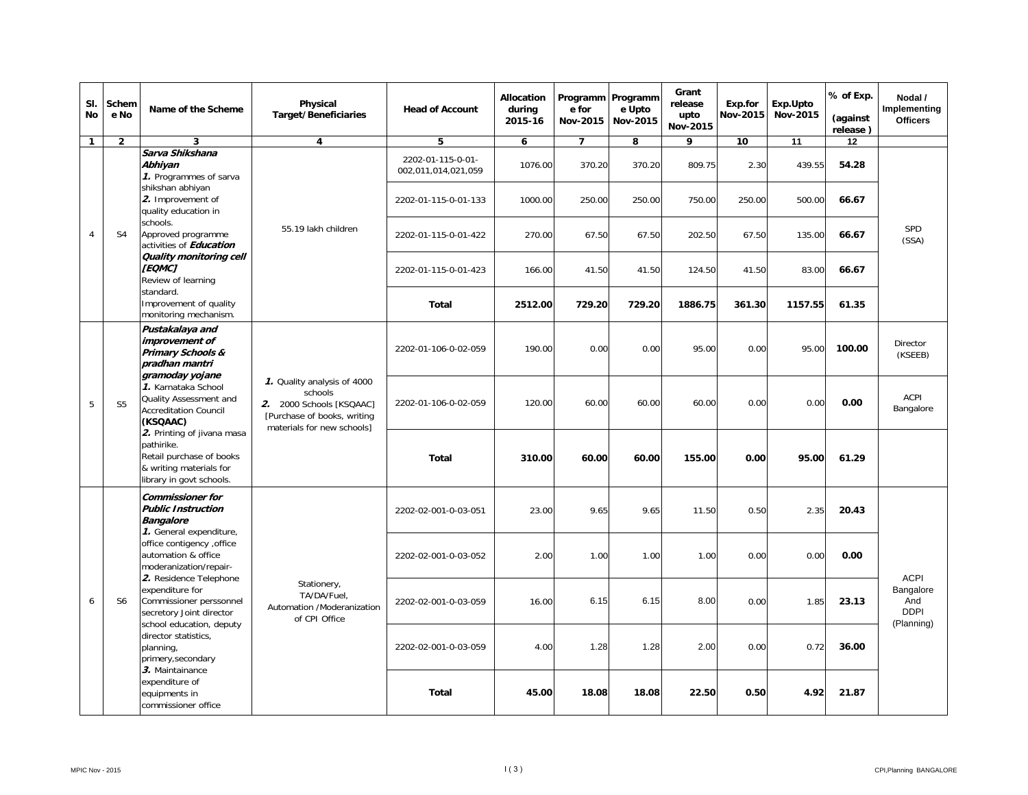| SI.<br><b>No</b> | Schem<br>e No  | Name of the Scheme                                                                                                                                               | Physical<br><b>Target/Beneficiaries</b>                                                                                         | <b>Head of Account</b>                   | <b>Allocation</b><br>during<br>2015-16 | Programm Programm<br>e for<br>Nov-2015 | e Upto<br>Nov-2015                                                                                                                                                                                                                                                                                                                                                                                                                                   | Grant<br>release<br>upto<br>Nov-2015 | Exp.for<br>Nov-2015 | Exp.Upto<br>Nov-2015 | % of Exp.<br>(against             | Nodal /<br>Implementing<br><b>Officers</b>                   |  |
|------------------|----------------|------------------------------------------------------------------------------------------------------------------------------------------------------------------|---------------------------------------------------------------------------------------------------------------------------------|------------------------------------------|----------------------------------------|----------------------------------------|------------------------------------------------------------------------------------------------------------------------------------------------------------------------------------------------------------------------------------------------------------------------------------------------------------------------------------------------------------------------------------------------------------------------------------------------------|--------------------------------------|---------------------|----------------------|-----------------------------------|--------------------------------------------------------------|--|
| $\mathbf{1}$     | $\overline{2}$ | 3                                                                                                                                                                | $\overline{\mathbf{4}}$                                                                                                         | 5                                        | 6                                      | $\overline{7}$                         | 8                                                                                                                                                                                                                                                                                                                                                                                                                                                    | 9                                    | 10                  | 11                   | 12                                |                                                              |  |
|                  |                | Sarva Shikshana<br>Abhiyan<br>1. Programmes of sarva                                                                                                             |                                                                                                                                 | 2202-01-115-0-01-<br>002,011,014,021,059 | 1076.00                                | 370.20                                 | 370.20                                                                                                                                                                                                                                                                                                                                                                                                                                               |                                      |                     |                      | 54.28                             |                                                              |  |
|                  |                | shikshan abhiyan<br>2. Improvement of<br>quality education in                                                                                                    |                                                                                                                                 | 2202-01-115-0-01-133                     | 1000.00                                | 250.00                                 | 250.00                                                                                                                                                                                                                                                                                                                                                                                                                                               |                                      |                     |                      | 66.67                             |                                                              |  |
| $\overline{4}$   | S <sub>4</sub> | schools.<br>Approved programme<br>activities of Education                                                                                                        | 55.19 lakh children                                                                                                             | 2202-01-115-0-01-422                     | 270.00                                 | 67.50                                  | 67.50                                                                                                                                                                                                                                                                                                                                                                                                                                                |                                      |                     | 135.00               | 66.67                             | SPD<br>(SSA)                                                 |  |
|                  |                | Quality monitoring cell<br>[EQMC]<br>Review of learning                                                                                                          |                                                                                                                                 | 2202-01-115-0-01-423                     | 166.00                                 | 41.50                                  | 41.50                                                                                                                                                                                                                                                                                                                                                                                                                                                |                                      |                     | 83.00                | 66.67<br>61.35<br>100.00<br>95.00 |                                                              |  |
|                  |                | standard.<br>Improvement of quality<br>monitoring mechanism.                                                                                                     |                                                                                                                                 | <b>Total</b>                             | 2512.00                                | 729.20                                 | 729.20                                                                                                                                                                                                                                                                                                                                                                                                                                               |                                      |                     | 1157.55              |                                   |                                                              |  |
|                  |                | Pustakalaya and<br>improvement of<br><b>Primary Schools &amp;</b><br>pradhan mantri<br>gramoday yojane                                                           |                                                                                                                                 | 2202-01-106-0-02-059                     | 190.00                                 | 0.00                                   | 0.00                                                                                                                                                                                                                                                                                                                                                                                                                                                 |                                      |                     |                      |                                   | Director<br>(KSEEB)                                          |  |
| 5                | S <sub>5</sub> | 1. Karnataka School<br>Quality Assessment and<br><b>Accreditation Council</b><br>(KSQAAC)                                                                        | 1. Quality analysis of 4000<br>schools<br>2. 2000 Schools [KSQAAC]<br>[Purchase of books, writing<br>materials for new schools] | 2202-01-106-0-02-059                     | 120.00                                 | 60.00                                  | release)<br>809.75<br>2.30<br>439.55<br>750.00<br>250.00<br>500.00<br>202.50<br>67.50<br>124.50<br>41.50<br>1886.75<br>361.30<br>95.00<br>0.00<br>0.00<br>60.00<br>60.00<br>0.00<br>0.00<br>60.00<br>155.00<br>0.00<br>95.00<br>61.29<br>9.65<br>11.50<br>0.50<br>2.35<br>20.43<br>1.00<br>1.00<br>0.00<br>0.00<br>0.00<br>6.15<br>8.00<br>0.00<br>1.85<br>23.13<br>1.28<br>2.00<br>0.00<br>0.72<br>36.00<br>22.50<br>4.92<br>18.08<br>0.50<br>21.87 | ACPI<br>Bangalore                    |                     |                      |                                   |                                                              |  |
|                  |                | 2. Printing of jivana masa<br>pathirike.<br>Retail purchase of books<br>& writing materials for<br>library in govt schools.                                      |                                                                                                                                 | <b>Total</b>                             | 310.00                                 | 60.00                                  |                                                                                                                                                                                                                                                                                                                                                                                                                                                      |                                      |                     |                      |                                   |                                                              |  |
|                  |                | <b>Commissioner for</b><br><b>Public Instruction</b><br><b>Bangalore</b>                                                                                         |                                                                                                                                 | 2202-02-001-0-03-051                     | 23.00                                  | 9.65                                   |                                                                                                                                                                                                                                                                                                                                                                                                                                                      |                                      |                     |                      |                                   |                                                              |  |
|                  |                | 1. General expenditure,<br>office contigency , office<br>automation & office<br>moderanization/repair-<br>2. Residence Telephone                                 |                                                                                                                                 | 2202-02-001-0-03-052                     | 2.00                                   | 1.00                                   |                                                                                                                                                                                                                                                                                                                                                                                                                                                      |                                      |                     |                      |                                   |                                                              |  |
| 6                | S <sub>6</sub> | expenditure for<br>Commissioner perssonnel<br>secretory Joint director                                                                                           | Stationery,<br>TA/DA/Fuel.<br>Automation /Moderanization<br>of CPI Office                                                       | 2202-02-001-0-03-059                     | 16.00                                  | 6.15                                   |                                                                                                                                                                                                                                                                                                                                                                                                                                                      |                                      |                     |                      |                                   | <b>ACPI</b><br>Bangalore<br>And<br><b>DDPI</b><br>(Planning) |  |
|                  |                | school education, deputy<br>director statistics,<br>planning,<br>primery, secondary<br>3. Maintainance<br>expenditure of<br>equipments in<br>commissioner office |                                                                                                                                 |                                          | 2202-02-001-0-03-059                   | 4.00                                   | 1.28                                                                                                                                                                                                                                                                                                                                                                                                                                                 |                                      |                     |                      |                                   |                                                              |  |
|                  |                |                                                                                                                                                                  |                                                                                                                                 | <b>Total</b>                             | 45.00                                  | 18.08                                  |                                                                                                                                                                                                                                                                                                                                                                                                                                                      |                                      |                     |                      |                                   |                                                              |  |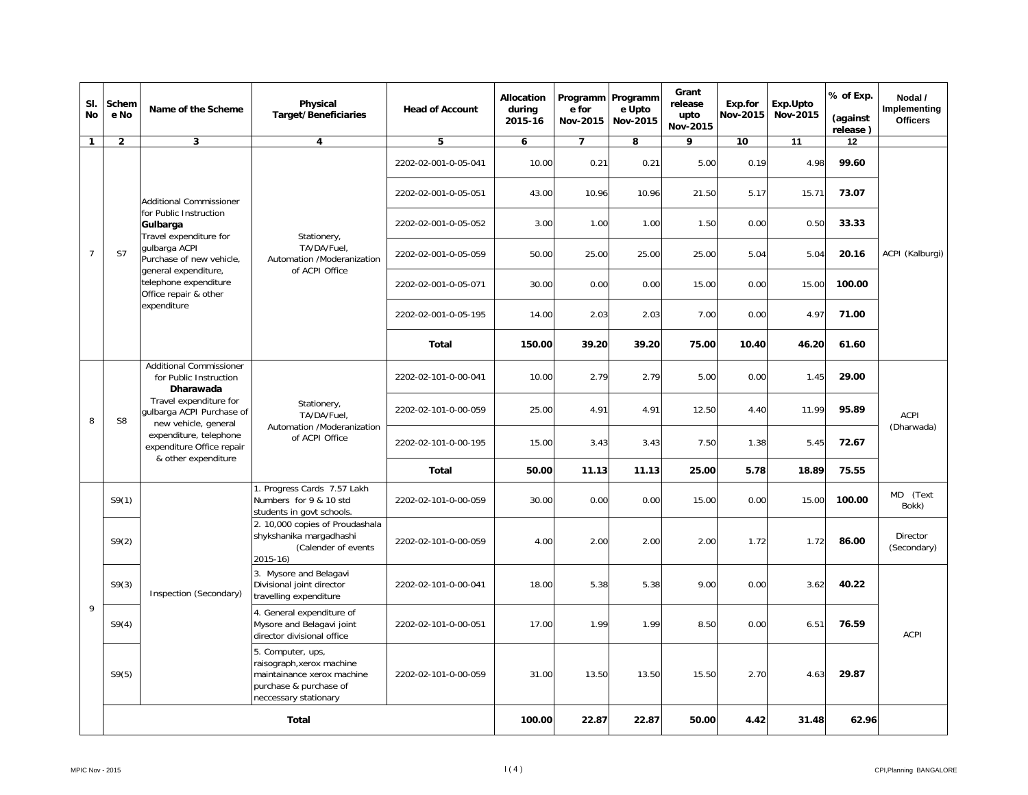| SI.<br><b>No</b> | Schem<br>e No  | Name of the Scheme                                                          | Physical<br><b>Target/Beneficiaries</b>                                                                                         | <b>Head of Account</b> | Allocation<br>during<br>2015-16 | Programm Programm<br>e for<br>Nov-2015 | e Upto<br>Nov-2015 | Grant<br>release<br>upto<br>Nov-2015 | Exp.for<br>Nov-2015 | Exp.Upto<br>Nov-2015 | % of Exp.<br>(against<br>release) | Nodal /<br>Implementing<br><b>Officers</b> |
|------------------|----------------|-----------------------------------------------------------------------------|---------------------------------------------------------------------------------------------------------------------------------|------------------------|---------------------------------|----------------------------------------|--------------------|--------------------------------------|---------------------|----------------------|-----------------------------------|--------------------------------------------|
| $\mathbf{1}$     | $\overline{2}$ | $\overline{\mathbf{3}}$                                                     | 4                                                                                                                               | 5                      | 6                               | $\overline{7}$                         | 8                  | 9                                    | 10                  | $\overline{11}$      | 12                                |                                            |
|                  |                |                                                                             |                                                                                                                                 | 2202-02-001-0-05-041   | 10.00                           | 0.21                                   | 0.21               | 5.00                                 | 0.19                | 4.98                 | 99.60                             |                                            |
|                  |                | <b>Additional Commissioner</b>                                              |                                                                                                                                 | 2202-02-001-0-05-051   | 43.00                           | 10.96                                  | 10.96              | 21.50                                | 5.17                | 15.71                | 73.07                             |                                            |
|                  |                | for Public Instruction<br>Gulbarga<br>Travel expenditure for                | Stationery,                                                                                                                     | 2202-02-001-0-05-052   | 3.00                            | 1.00                                   | 1.00               | 1.50                                 | 0.00                | 0.50                 | 33.33                             |                                            |
| $\overline{7}$   | S7             | qulbarga ACPI<br>Purchase of new vehicle,<br>general expenditure,           | TA/DA/Fuel.<br>Automation /Moderanization<br>of ACPI Office                                                                     | 2202-02-001-0-05-059   | 50.00                           | 25.00                                  | 25.00              | 25.00                                | 5.04                | 5.04                 | 20.16                             | ACPI (Kalburgi)                            |
|                  |                | telephone expenditure<br>Office repair & other                              |                                                                                                                                 | 2202-02-001-0-05-071   | 30.00                           | 0.00                                   | 0.00               | 15.00                                | 0.00                | 15.00                | 100.00                            |                                            |
|                  |                | expenditure                                                                 |                                                                                                                                 | 2202-02-001-0-05-195   | 14.00                           | 2.03                                   | 2.03               | 7.00                                 | 0.00                | 4.97                 | 71.00                             |                                            |
|                  |                | <b>Additional Commissioner</b>                                              |                                                                                                                                 | Total                  | 150.00                          | 39.20                                  | 39.20              | 75.00                                | 10.40               | 46.20                | 61.60                             |                                            |
|                  |                | for Public Instruction<br>Dharawada                                         |                                                                                                                                 | 2202-02-101-0-00-041   | 10.00                           | 2.79                                   | 2.79               | 5.00                                 | 0.00                | 1.45                 | 29.00                             |                                            |
| 8                | S <sub>8</sub> | Travel expenditure for<br>gulbarga ACPI Purchase of<br>new vehicle, general | Stationery,<br>TA/DA/Fuel.<br>Automation /Moderanization                                                                        | 2202-02-101-0-00-059   | 25.00                           | 4.91                                   | 4.91               | 12.50                                | 4.40                | 11.99                | 95.89                             | <b>ACPI</b>                                |
|                  |                | expenditure, telephone<br>expenditure Office repair                         | of ACPI Office                                                                                                                  | 2202-02-101-0-00-195   | 15.00                           | 3.43                                   | 3.43               | 7.50                                 | 1.38                | 5.45                 | 72.67                             | (Dharwada)                                 |
|                  |                | & other expenditure                                                         |                                                                                                                                 | <b>Total</b>           | 50.00                           | 11.13                                  | 11.13              | 25.00                                | 5.78                | 18.89                | 75.55                             |                                            |
|                  | S9(1)          |                                                                             | 1. Progress Cards 7.57 Lakh<br>Numbers for 9 & 10 std<br>students in govt schools.                                              | 2202-02-101-0-00-059   | 30.00                           | 0.00                                   | 0.00               | 15.00                                | 0.00                | 15.00                | 100.00                            | MD (Text<br>Bokk)                          |
|                  | S9(2)          |                                                                             | 2. 10,000 copies of Proudashala<br>shykshanika margadhashi<br>(Calender of events<br>2015-16)                                   | 2202-02-101-0-00-059   | 4.00                            | 2.00                                   | 2.00               | 2.00                                 | 1.72                | 1.72                 | 86.00                             | Director<br>(Secondary)                    |
|                  | S9(3)          | Inspection (Secondary)                                                      | 3. Mysore and Belagavi<br>Divisional joint director<br>travelling expenditure                                                   | 2202-02-101-0-00-041   | 18.00                           | 5.38                                   | 5.38               | 9.00                                 | 0.00                | 3.62                 | 40.22                             |                                            |
| 9                | S9(4)          |                                                                             | 4. General expenditure of<br>Mysore and Belagavi joint<br>director divisional office                                            | 2202-02-101-0-00-051   | 17.00                           | 1.99                                   | 1.99               | 8.50                                 | 0.00                | 6.51                 | 76.59                             | <b>ACPI</b>                                |
|                  | S9(5)          |                                                                             | 5. Computer, ups,<br>raisograph, xerox machine<br>maintainance xerox machine<br>purchase & purchase of<br>neccessary stationary | 2202-02-101-0-00-059   | 31.00                           | 13.50                                  | 13.50              | 15.50                                | 2.70                | 4.63                 | 29.87                             |                                            |
|                  | <b>Total</b>   |                                                                             |                                                                                                                                 |                        |                                 | 100.00<br>22.87                        | 22.87              | 50.00                                | 4.42                | 31.48                | 62.96                             |                                            |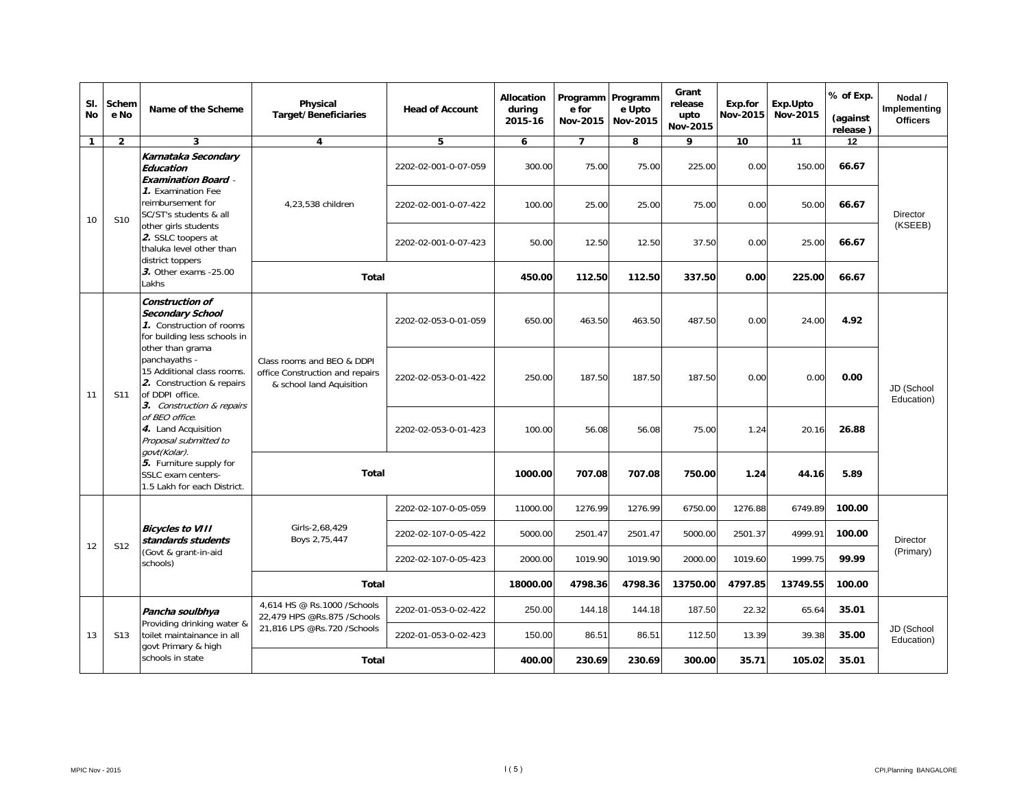| SI.<br><b>No</b>      | Schem<br>e No   | Name of the Scheme                                                                                                                                                                                         | Physical<br><b>Target/Beneficiaries</b>                                                   | <b>Head of Account</b> | <b>Allocation</b><br>during<br>2015-16 | e for<br>Nov-2015 | Programm Programm<br>e Upto<br>Nov-2015 | Grant<br>release<br>upto<br>Nov-2015 | Exp.for<br>Nov-2015 | Exp.Upto<br>Nov-2015                                                                                                                                                                     | % of Exp.<br>(against | Nodal /<br>Implementing<br><b>Officers</b> |
|-----------------------|-----------------|------------------------------------------------------------------------------------------------------------------------------------------------------------------------------------------------------------|-------------------------------------------------------------------------------------------|------------------------|----------------------------------------|-------------------|-----------------------------------------|--------------------------------------|---------------------|------------------------------------------------------------------------------------------------------------------------------------------------------------------------------------------|-----------------------|--------------------------------------------|
| $\mathbf{1}$          | $\overline{2}$  | 3                                                                                                                                                                                                          | $\overline{\mathbf{4}}$                                                                   | 5                      | 6                                      | $\overline{7}$    | 8                                       | 9                                    | 10                  | 11                                                                                                                                                                                       | 12                    |                                            |
|                       |                 | Karnataka Secondary<br>Education<br><b>Examination Board -</b>                                                                                                                                             |                                                                                           | 2202-02-001-0-07-059   | 300.00                                 | 75.00             | 75.00                                   | 225.00                               | 0.00                |                                                                                                                                                                                          | 66.67                 |                                            |
| 10                    | S <sub>10</sub> | 1. Examination Fee<br>reimbursement for<br>SC/ST's students & all                                                                                                                                          | 4,23,538 children                                                                         | 2202-02-001-0-07-422   | 100.00                                 | 25.00             | 25.00                                   | 75.00                                | 0.00                |                                                                                                                                                                                          | 66.67                 | <b>Director</b>                            |
|                       |                 | other girls students<br>2. SSLC toopers at<br>thaluka level other than<br>district toppers<br>3. Other exams -25.00<br>Lakhs                                                                               |                                                                                           | 2202-02-001-0-07-423   | 50.00                                  | 12.50             | 12.50                                   | 37.50                                | 0.00                | 25.00                                                                                                                                                                                    | 66.67                 | (KSEEB)                                    |
|                       |                 |                                                                                                                                                                                                            | Total                                                                                     |                        | 450.00                                 | 112.50            | 112.50                                  | 337.50                               | 0.00                |                                                                                                                                                                                          | 66.67                 |                                            |
|                       |                 | Construction of<br><b>Secondary School</b><br>1. Construction of rooms<br>for building less schools in<br>other than grama                                                                                 |                                                                                           | 2202-02-053-0-01-059   | 650.00                                 | 463.50            | 463.50                                  | 487.50                               | 0.00                | 24.00<br>4.92<br>0.00<br>0.00                                                                                                                                                            |                       |                                            |
| 11                    | S11             | panchayaths -<br>15 Additional class rooms.<br>2. Construction & repairs<br>of DDPI office.<br>3. Construction & repairs<br>of BEO office.<br>4. Land Acquisition<br>Proposal submitted to<br>govt(Kolar). | Class rooms and BEO & DDPI<br>office Construction and repairs<br>& school land Aquisition | 2202-02-053-0-01-422   | 250.00                                 | 187.50            | 187.50                                  | 187.50                               | 0.00                |                                                                                                                                                                                          |                       | JD (School<br>Education)                   |
|                       |                 |                                                                                                                                                                                                            |                                                                                           | 2202-02-053-0-01-423   | 100.00                                 | 56.08             | 56.08                                   | 75.00                                | 1.24                |                                                                                                                                                                                          | 26.88                 |                                            |
|                       |                 | 5. Furniture supply for<br>SSLC exam centers-<br>1.5 Lakh for each District.                                                                                                                               | <b>Total</b>                                                                              |                        | 1000.00                                | 707.08            | 707.08                                  | 750.00                               | 1.24                |                                                                                                                                                                                          | 5.89                  |                                            |
|                       |                 |                                                                                                                                                                                                            |                                                                                           | 2202-02-107-0-05-059   | 11000.00                               | 1276.99           | 1276.99                                 | 6750.00                              | 1276.88             |                                                                                                                                                                                          | 100.00                |                                            |
| 12                    | S <sub>12</sub> | <b>Bicycles to VIII</b><br>standards students                                                                                                                                                              | Girls-2,68,429<br>Boys 2,75,447                                                           | 2202-02-107-0-05-422   | 5000.00                                | 2501.47           | 2501.47                                 | 5000.00                              | 2501.37             | release)<br>150.00<br>50.00<br>225.00<br>20.16<br>44.16<br>6749.89<br>4999.91<br>100.00<br>99.99<br>1999.75<br>13749.55<br>100.00<br>65.64<br>35.01<br>39.38<br>35.00<br>105.02<br>35.01 | Director              |                                            |
|                       |                 | (Govt & grant-in-aid<br>schools)                                                                                                                                                                           |                                                                                           | 2202-02-107-0-05-423   | 2000.00                                | 1019.90           | 1019.90                                 | 2000.00                              | 1019.60             |                                                                                                                                                                                          |                       | (Primary)                                  |
|                       |                 |                                                                                                                                                                                                            | Total                                                                                     |                        | 18000.00                               | 4798.36           | 4798.36                                 | 13750.00                             | 4797.85             |                                                                                                                                                                                          |                       |                                            |
|                       |                 | Pancha soulbhya<br>Providing drinking water &                                                                                                                                                              | 4,614 HS @ Rs.1000 / Schools<br>22,479 HPS @Rs.875 /Schools                               | 2202-01-053-0-02-422   | 250.00                                 | 144.18            | 144.18                                  | 187.50                               | 22.32               |                                                                                                                                                                                          |                       |                                            |
| 13<br>S <sub>13</sub> |                 | toilet maintainance in all<br>govt Primary & high                                                                                                                                                          | 21,816 LPS @Rs.720 /Schools                                                               | 2202-01-053-0-02-423   | 150.00                                 | 86.51             | 86.51                                   | 112.50                               | 13.39               |                                                                                                                                                                                          |                       | JD (School<br>Education)                   |
|                       |                 | schools in state                                                                                                                                                                                           |                                                                                           | <b>Total</b>           | 400.00                                 | 230.69            | 230.69                                  | 300.00                               | 35.71               |                                                                                                                                                                                          |                       |                                            |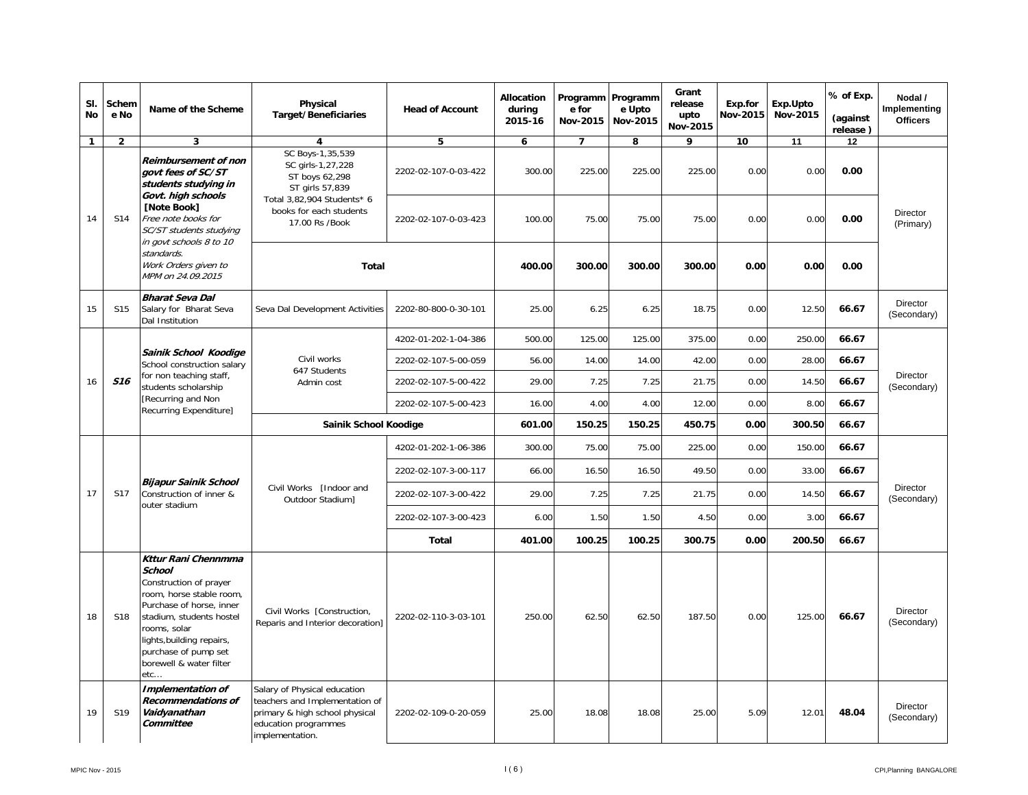| SI.<br><b>No</b> | Schem<br>e No   | Name of the Scheme                                                                                                                                                                                                                                               | Physical<br><b>Target/Beneficiaries</b>                                                                                                     | <b>Head of Account</b> | Allocation<br>during<br>2015-16 | Programm Programm<br>e for<br>Nov-2015 | e Upto<br>Nov-2015 | Grant<br>release<br>upto<br>Nov-2015 | Exp.for<br>Nov-2015                                                                          | Exp.Upto<br>Nov-2015    | % of Exp.<br>(against<br>release) | Nodal /<br>Implementing<br><b>Officers</b> |
|------------------|-----------------|------------------------------------------------------------------------------------------------------------------------------------------------------------------------------------------------------------------------------------------------------------------|---------------------------------------------------------------------------------------------------------------------------------------------|------------------------|---------------------------------|----------------------------------------|--------------------|--------------------------------------|----------------------------------------------------------------------------------------------|-------------------------|-----------------------------------|--------------------------------------------|
| 1                | $\overline{2}$  | 3                                                                                                                                                                                                                                                                | $\overline{\mathbf{4}}$                                                                                                                     | 5                      | 6                               | $\overline{ }$                         | 8                  | 9                                    | 10                                                                                           | 11                      | 12                                |                                            |
|                  |                 | Reimbursement of non<br>aovt fees of SC/ST<br>students studying in<br>Govt. high schools                                                                                                                                                                         | SC Boys-1,35,539<br>SC girls-1,27,228<br>ST boys 62,298<br>ST girls 57,839                                                                  | 2202-02-107-0-03-422   | 300.00                          | 225.00                                 | 225.00             | 225.00                               | 0.00                                                                                         | 0.00                    | 0.00                              |                                            |
| 14               | S14             | [Note Book]<br>Free note books for<br>SC/ST students studying<br>in govt schools 8 to 10                                                                                                                                                                         | Total 3,82,904 Students* 6<br>books for each students<br>17.00 Rs /Book                                                                     | 2202-02-107-0-03-423   | 100.00                          | 75.00                                  | 75.00              | 75.00                                | 0.00                                                                                         | 0.00                    | 0.00                              | Director<br>(Primary)                      |
|                  |                 | standards.<br>Work Orders given to<br>MPM on 24.09.2015                                                                                                                                                                                                          | Total                                                                                                                                       |                        | 400.00                          | 300.00                                 | 300.00             | 300.00                               | 0.00                                                                                         | 0.00                    | 0.00                              |                                            |
| 15               | S <sub>15</sub> | <b>Bharat Seva Dal</b><br>Salary for Bharat Seva<br>Dal Institution                                                                                                                                                                                              | Seva Dal Development Activities                                                                                                             | 2202-80-800-0-30-101   | 25.00                           | 6.25                                   | 6.25               | 18.75                                | 0.00                                                                                         | 12.50                   | 66.67                             | Director<br>(Secondary)                    |
|                  |                 |                                                                                                                                                                                                                                                                  |                                                                                                                                             | 4202-01-202-1-04-386   | 500.00                          | 125.00                                 | 125.00             | 375.00                               | 0.00                                                                                         | 250.00                  | 66.67                             |                                            |
|                  |                 | Sainik School Koodige<br>School construction salary                                                                                                                                                                                                              | Civil works<br>647 Students                                                                                                                 | 2202-02-107-5-00-059   | 56.00                           | 14.00                                  | 14.00              | 42.00                                | 0.00                                                                                         | 28.00                   | 66.67                             |                                            |
| 16               | S <sub>16</sub> | for non teaching staff,<br>students scholarship                                                                                                                                                                                                                  | Admin cost                                                                                                                                  | 2202-02-107-5-00-422   | 29.00                           | 7.25                                   | 7.25               |                                      | 14.50<br>21.75<br>0.00<br>66.67<br>12.00<br>0.00<br>8.00<br>66.67<br>0.00<br>300.50<br>66.67 | Director<br>(Secondary) |                                   |                                            |
|                  |                 | [Recurring and Non<br>Recurring Expenditure]                                                                                                                                                                                                                     |                                                                                                                                             | 2202-02-107-5-00-423   | 16.00                           | 4.00                                   | 4.00               |                                      |                                                                                              |                         |                                   |                                            |
|                  |                 |                                                                                                                                                                                                                                                                  | Sainik School Koodige                                                                                                                       |                        | 601.00                          | 150.25                                 | 150.25             | 450.75                               |                                                                                              |                         |                                   |                                            |
|                  |                 |                                                                                                                                                                                                                                                                  |                                                                                                                                             | 4202-01-202-1-06-386   | 300.00                          | 75.00                                  | 75.00              | 225.00                               | 0.00                                                                                         | 150.00                  | 66.67                             |                                            |
|                  |                 |                                                                                                                                                                                                                                                                  |                                                                                                                                             | 2202-02-107-3-00-117   | 66.00                           | 16.50                                  | 16.50              | 49.50                                | 0.00                                                                                         | 33.00                   | 66.67                             |                                            |
| 17               | S17             | <b>Bijapur Sainik School</b><br>Construction of inner &<br>outer stadium                                                                                                                                                                                         | Civil Works [Indoor and<br>Outdoor Stadium]                                                                                                 | 2202-02-107-3-00-422   | 29.00                           | 7.25                                   | 7.25               | 21.75                                | 0.00                                                                                         | 14.50                   | 66.67                             | Director<br>(Secondary)                    |
|                  |                 |                                                                                                                                                                                                                                                                  |                                                                                                                                             | 2202-02-107-3-00-423   | 6.00                            | 1.50                                   | 1.50               | 4.50                                 | 0.00                                                                                         | 3.00                    | 66.67                             |                                            |
|                  |                 |                                                                                                                                                                                                                                                                  |                                                                                                                                             | Total                  | 401.00                          | 100.25                                 | 100.25             | 300.75                               | 0.00                                                                                         | 200.50                  | 66.67                             |                                            |
| 18               | <b>S18</b>      | <b>Kttur Rani Chennmma</b><br><b>School</b><br>Construction of prayer<br>room, horse stable room,<br>Purchase of horse, inner<br>stadium, students hostel<br>rooms, solar<br>lights, building repairs,<br>purchase of pump set<br>borewell & water filter<br>etc | Civil Works [Construction,<br>Reparis and Interior decoration]                                                                              | 2202-02-110-3-03-101   | 250.00                          | 62.50                                  | 62.50              | 187.50                               | 0.00                                                                                         | 125.00                  | 66.67                             | Director<br>(Secondary)                    |
| 19               | S19             | <b>Implementation of</b><br><b>Recommendations of</b><br>Vaidyanathan<br>Committee                                                                                                                                                                               | Salary of Physical education<br>teachers and Implementation of<br>primary & high school physical<br>education programmes<br>implementation. | 2202-02-109-0-20-059   | 25.00                           | 18.08                                  | 18.08              | 25.00                                | 5.09                                                                                         | 12.01                   | 48.04                             | Director<br>(Secondary)                    |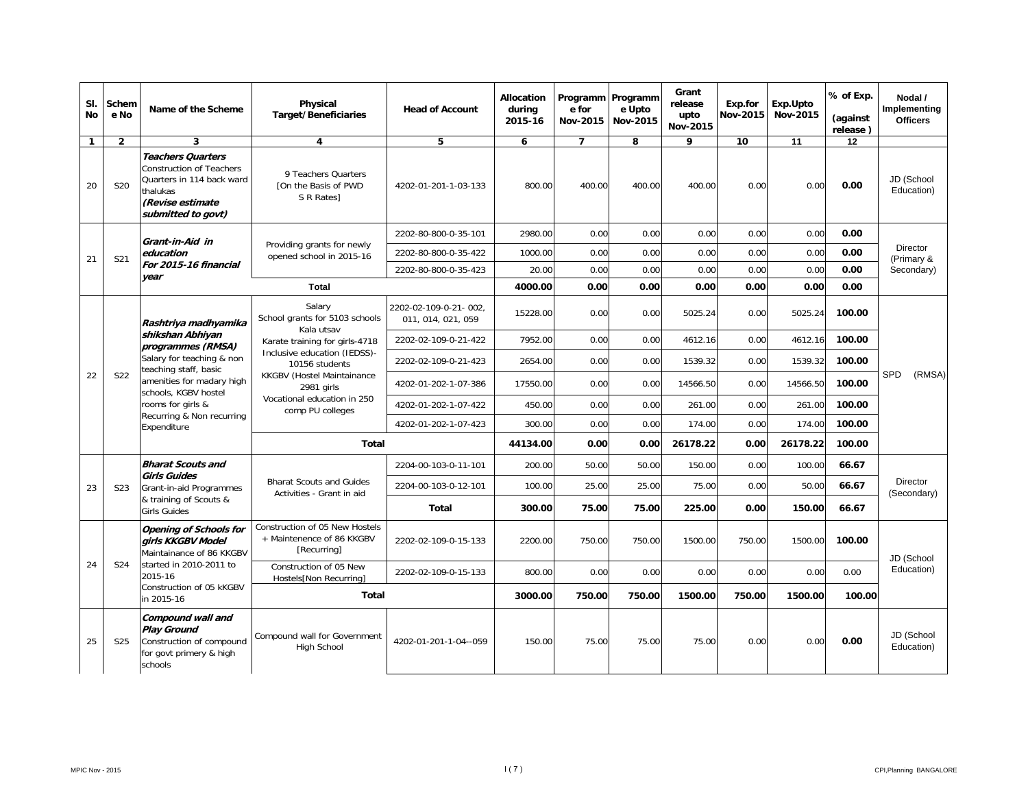| SI.<br><b>No</b> | Schem<br>e No   | Name of the Scheme                                                                                                                                                       | Physical<br><b>Target/Beneficiaries</b>                                                                                                              | <b>Head of Account</b>                      | <b>Allocation</b><br>during<br>2015-16 | Programm Programm<br>e for<br>Nov-2015 | e Upto<br>Nov-2015 | Grant<br>release<br>upto<br>Nov-2015 | Exp.for<br>Nov-2015                                                                                                                                                                | Exp.Upto<br>Nov-2015 | % of Exp.<br>(against<br>release) | Nodal /<br>Implementing<br><b>Officers</b> |
|------------------|-----------------|--------------------------------------------------------------------------------------------------------------------------------------------------------------------------|------------------------------------------------------------------------------------------------------------------------------------------------------|---------------------------------------------|----------------------------------------|----------------------------------------|--------------------|--------------------------------------|------------------------------------------------------------------------------------------------------------------------------------------------------------------------------------|----------------------|-----------------------------------|--------------------------------------------|
| $\mathbf{1}$     | $\overline{2}$  | 3                                                                                                                                                                        | 4                                                                                                                                                    | 5                                           | 6                                      | $\overline{7}$                         | 8                  | 9                                    | 10                                                                                                                                                                                 | 11                   | 12                                |                                            |
| 20               | <b>S20</b>      | <b>Teachers Quarters</b><br><b>Construction of Teachers</b><br>Quarters in 114 back ward<br>thalukas<br>(Revise estimate<br>submitted to govt)                           | 9 Teachers Quarters<br>[On the Basis of PWD<br>S R Rates1                                                                                            | 4202-01-201-1-03-133                        | 800.00                                 | 400.00                                 | 400.00             | 400.00                               | 0.00                                                                                                                                                                               | 0.00                 | 0.00                              | JD (School<br>Education)                   |
|                  |                 |                                                                                                                                                                          |                                                                                                                                                      | 2202-80-800-0-35-101                        | 2980.00                                | 0.00                                   | 0.00               | 0.00                                 | 0.00                                                                                                                                                                               | 0.00                 | 0.00                              |                                            |
| 21               | S21             | Grant-in-Aid in<br>education                                                                                                                                             | Providing grants for newly<br>opened school in 2015-16                                                                                               | 2202-80-800-0-35-422                        | 1000.00                                | 0.00                                   | 0.00               | 0.00                                 | 0.00                                                                                                                                                                               | 0.00                 | 0.00                              | <b>Director</b><br>(Primary &              |
|                  |                 | For 2015-16 financial<br>vear                                                                                                                                            |                                                                                                                                                      | 2202-80-800-0-35-423                        | 20.00                                  | 0.00                                   | 0.00               | 0.00                                 | 0.00                                                                                                                                                                               | 0.00                 | 0.00                              | Secondary)                                 |
|                  |                 |                                                                                                                                                                          | <b>Total</b>                                                                                                                                         |                                             | 4000.00                                | 0.00                                   | 0.00               | 0.00                                 |                                                                                                                                                                                    |                      | 0.00                              |                                            |
|                  |                 | Rashtriya madhyamika                                                                                                                                                     | Salary<br>School grants for 5103 schools<br>Kala utsav                                                                                               | 2202-02-109-0-21-002.<br>011, 014, 021, 059 | 15228.00                               | 0.00                                   | 0.00               | 5025.24                              |                                                                                                                                                                                    | 5025.24              | 100.00                            |                                            |
|                  |                 | shikshan Abhiyan<br>programmes (RMSA)                                                                                                                                    | Karate training for girls-4718                                                                                                                       | 2202-02-109-0-21-422                        | 7952.00                                | 0.00                                   | 0.00               | 4612.16                              | 0.00<br>0.00<br>0.00<br>0.00<br>4612.16<br>100.00<br>0.00<br>1539.32<br>100.00<br><b>SPD</b><br>0.00<br>14566.50<br>100.00<br>100.00<br>0.00<br>261.00<br>0.00<br>174.00<br>100.00 |                      |                                   |                                            |
|                  |                 | Salary for teaching & non<br>teaching staff, basic<br>amenities for madary high<br>schools, KGBV hostel<br>rooms for girls &<br>Recurring & Non recurring<br>Expenditure | Inclusive education (IEDSS)-<br>10156 students<br><b>KKGBV (Hostel Maintainance</b><br>2981 girls<br>Vocational education in 250<br>comp PU colleges | 2202-02-109-0-21-423                        | 2654.00                                | 0.00                                   | 0.00               | 1539.32                              |                                                                                                                                                                                    |                      |                                   |                                            |
| 22               | S22             |                                                                                                                                                                          |                                                                                                                                                      | 4202-01-202-1-07-386                        | 17550.00                               | 0.00                                   | 0.00               | 14566.50                             |                                                                                                                                                                                    |                      |                                   | (RMSA)                                     |
|                  |                 |                                                                                                                                                                          |                                                                                                                                                      | 4202-01-202-1-07-422                        | 450.00                                 | 0.00                                   | 0.00               | 261.00                               |                                                                                                                                                                                    |                      |                                   |                                            |
|                  |                 |                                                                                                                                                                          |                                                                                                                                                      | 4202-01-202-1-07-423                        | 300.00                                 | 0.00                                   | 0.00               | 174.00                               |                                                                                                                                                                                    |                      |                                   |                                            |
|                  |                 |                                                                                                                                                                          | <b>Total</b>                                                                                                                                         |                                             | 44134.00                               | 0.00                                   | 0.00               | 26178.22                             | 0.00                                                                                                                                                                               | 26178.22             | 100.00                            |                                            |
|                  |                 | <b>Bharat Scouts and</b>                                                                                                                                                 |                                                                                                                                                      | 2204-00-103-0-11-101                        | 200.00                                 | 50.00                                  | 50.00              | 150.00                               | 0.00                                                                                                                                                                               | 100.00               | 66.67                             |                                            |
| 23               | S <sub>23</sub> | <b>Girls Guides</b><br>Grant-in-aid Programmes                                                                                                                           | <b>Bharat Scouts and Guides</b><br>Activities - Grant in aid                                                                                         | 2204-00-103-0-12-101                        | 100.00                                 | 25.00                                  | 25.00              | 75.00                                | 0.00                                                                                                                                                                               | 50.00                | 66.67                             | <b>Director</b><br>(Secondary)             |
|                  |                 | & training of Scouts &<br><b>Girls Guides</b>                                                                                                                            |                                                                                                                                                      | <b>Total</b>                                | 300.00                                 | 75.00                                  | 75.00              | 225.00                               | 0.00                                                                                                                                                                               | 150.00               | 66.67                             |                                            |
|                  |                 | <b>Opening of Schools for</b><br>airls KKGBV Model<br>Maintainance of 86 KKGBV                                                                                           | Construction of 05 New Hostels<br>+ Maintenence of 86 KKGBV<br>[Recurring]                                                                           | 2202-02-109-0-15-133                        | 2200.00                                | 750.00                                 | 750.00             | 1500.00                              | 750.00                                                                                                                                                                             | 1500.00              | 100.00                            | JD (School                                 |
| 24               | S24             | started in 2010-2011 to<br>2015-16                                                                                                                                       | Construction of 05 New<br>Hostels[Non Recurring]                                                                                                     | 2202-02-109-0-15-133                        | 800.00                                 | 0.00                                   | 0.00               | 0.00                                 | 0.00                                                                                                                                                                               | 0.00                 | 0.00                              | Education)                                 |
|                  |                 | Construction of 05 kKGBV<br>in 2015-16                                                                                                                                   | Total                                                                                                                                                |                                             | 3000.00                                | 750.00                                 | 750.00             | 1500.00                              | 750.00                                                                                                                                                                             | 1500.00              | 100.00                            |                                            |
| 25               | S <sub>25</sub> | Compound wall and<br><b>Play Ground</b><br>Construction of compound<br>for govt primery & high<br>schools                                                                | Compound wall for Government<br><b>High School</b>                                                                                                   | 4202-01-201-1-04--059                       | 150.00                                 | 75.00                                  | 75.00              | 75.00                                | 0.00                                                                                                                                                                               | 0.00                 | 0.00                              | JD (School<br>Education)                   |